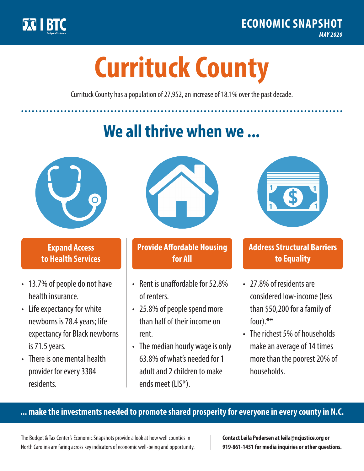

**1**

# **Currituck County**

Currituck County has a population of 27,952, an increase of 18.1% over the past decade.

# **We all thrive when we ...**



**\$ <sup>1</sup>**

**\$ <sup>1</sup>**

## **Expand Access to Health Services**

- 13.7% of people do not have health insurance.
- Life expectancy for white newborns is 78.4years; life expectancy for Black newborns is 71.5 years.
- There is one mental health provider for every 3384 residents.



## **Provide Affordable Housing for All**

- Rent is unaffordable for 52.8% of renters.
- 25.8% of people spend more than half of their income on rent.
- The median hourly wage is only 63.8% of what's needed for 1 adult and 2 children to make ends meet (LIS\*).



## **Address Structural Barriers to Equality**

- 27.8% of residents are considered low-income (less than \$50,200 for a family of four).\*\*
- The richest 5% of households make an average of 14 times more than the poorest 20% of households.

#### **... make the investments needed to promote shared prosperity for everyone in every county in N.C.**

The Budget & Tax Center's Economic Snapshots provide a look at how well counties in North Carolina are faring across key indicators of economic well-being and opportunity.